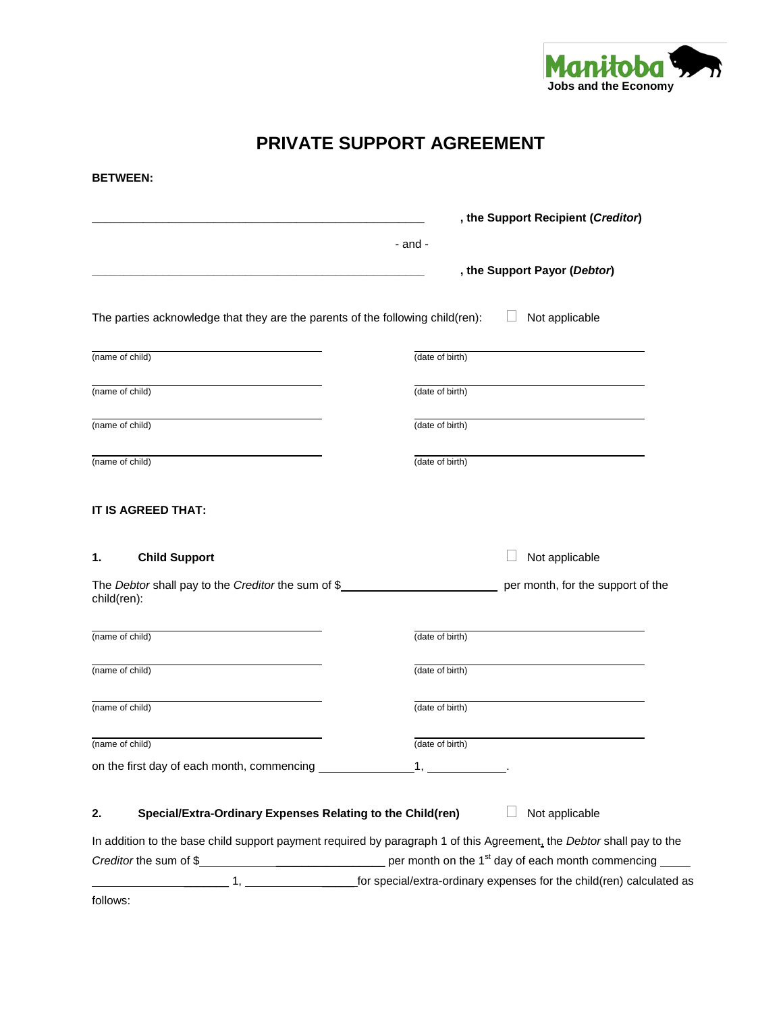

# **PRIVATE SUPPORT AGREEMENT**

| <b>BETWEEN:</b>                                                                                                                                                                                                         |                                    |                                   |
|-------------------------------------------------------------------------------------------------------------------------------------------------------------------------------------------------------------------------|------------------------------------|-----------------------------------|
|                                                                                                                                                                                                                         | , the Support Recipient (Creditor) |                                   |
|                                                                                                                                                                                                                         | - and -                            |                                   |
|                                                                                                                                                                                                                         | , the Support Payor (Debtor)       |                                   |
| The parties acknowledge that they are the parents of the following child(ren):                                                                                                                                          | Not applicable                     |                                   |
| (name of child)                                                                                                                                                                                                         | (date of birth)                    |                                   |
| (name of child)                                                                                                                                                                                                         | (date of birth)                    |                                   |
| (name of child)                                                                                                                                                                                                         | (date of birth)                    |                                   |
| (name of child)                                                                                                                                                                                                         | (date of birth)                    |                                   |
| IT IS AGREED THAT:                                                                                                                                                                                                      |                                    |                                   |
| <b>Child Support</b>                                                                                                                                                                                                    | Not applicable                     | per month, for the support of the |
|                                                                                                                                                                                                                         | (date of birth)                    |                                   |
|                                                                                                                                                                                                                         | (date of birth)                    |                                   |
|                                                                                                                                                                                                                         | (date of birth)                    |                                   |
|                                                                                                                                                                                                                         | (date of birth)                    |                                   |
|                                                                                                                                                                                                                         |                                    |                                   |
| 1.<br>The Debtor shall pay to the Creditor the sum of \$<br>child(ren):<br>(name of child)<br>(name of child)<br>(name of child)<br>(name of child)<br>Special/Extra-Ordinary Expenses Relating to the Child(ren)<br>2. | Not applicable                     |                                   |
| In addition to the base child support payment required by paragraph 1 of this Agreement, the Debtor shall pay to the                                                                                                    |                                    |                                   |

follows: